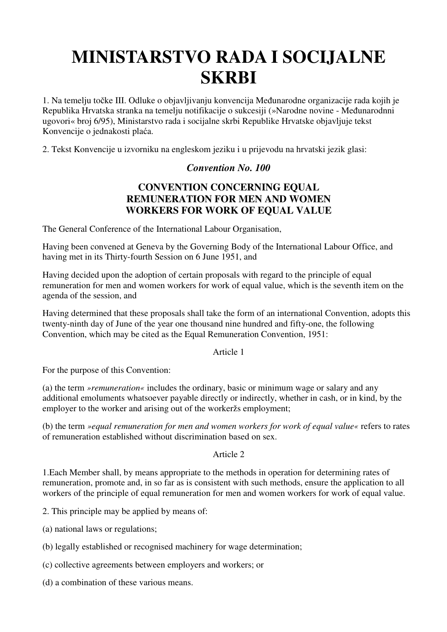# **MINISTARSTVO RADA I SOCIJALNE SKRBI**

1. Na temelju točke III. Odluke o objavljivanju konvencija Međunarodne organizacije rada kojih je Republika Hrvatska stranka na temelju notifikacije o sukcesiji (»Narodne novine - Međunarodnni ugovori« broj 6/95), Ministarstvo rada i socijalne skrbi Republike Hrvatske objavljuje tekst Konvencije o jednakosti plaća.

2. Tekst Konvencije u izvorniku na engleskom jeziku i u prijevodu na hrvatski jezik glasi:

## *Convention No. 100*

# **CONVENTION CONCERNING EQUAL REMUNERATION FOR MEN AND WOMEN WORKERS FOR WORK OF EQUAL VALUE**

The General Conference of the International Labour Organisation,

Having been convened at Geneva by the Governing Body of the International Labour Office, and having met in its Thirty-fourth Session on 6 June 1951, and

Having decided upon the adoption of certain proposals with regard to the principle of equal remuneration for men and women workers for work of equal value, which is the seventh item on the agenda of the session, and

Having determined that these proposals shall take the form of an international Convention, adopts this twenty-ninth day of June of the year one thousand nine hundred and fifty-one, the following Convention, which may be cited as the Equal Remuneration Convention, 1951:

## Article 1

For the purpose of this Convention:

(a) the term *»remuneration«* includes the ordinary, basic or minimum wage or salary and any additional emoluments whatsoever payable directly or indirectly, whether in cash, or in kind, by the employer to the worker and arising out of the workeržs employment;

(b) the term *»equal remuneration for men and women workers for work of equal value«* refers to rates of remuneration established without discrimination based on sex.

## Article 2

1.Each Member shall, by means appropriate to the methods in operation for determining rates of remuneration, promote and, in so far as is consistent with such methods, ensure the application to all workers of the principle of equal remuneration for men and women workers for work of equal value.

2. This principle may be applied by means of:

- (a) national laws or regulations;
- (b) legally established or recognised machinery for wage determination;
- (c) collective agreements between employers and workers; or
- (d) a combination of these various means.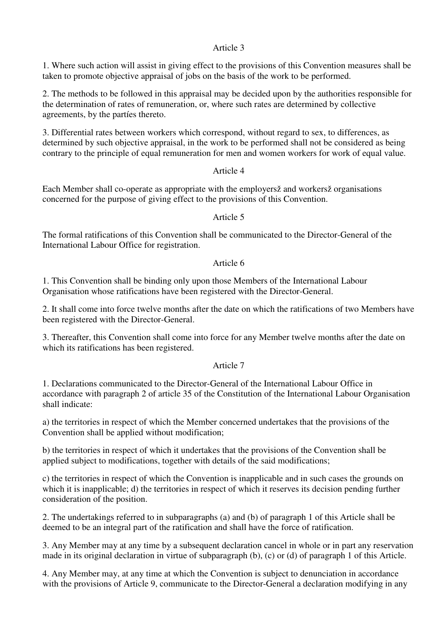## Article 3

1. Where such action will assist in giving effect to the provisions of this Convention measures shall be taken to promote objective appraisal of jobs on the basis of the work to be performed.

2. The methods to be followed in this appraisal may be decided upon by the authorities responsible for the determination of rates of remuneration, or, where such rates are determined by collective agreements, by the partíes thereto.

3. Differential rates between workers which correspond, without regard to sex, to differences, as determined by such objective appraisal, in the work to be performed shall not be considered as being contrary to the principle of equal remuneration for men and women workers for work of equal value.

## Article 4

Each Member shall co-operate as appropriate with the employersž and workersž organisations concerned for the purpose of giving effect to the provisions of this Convention.

## Article 5

The formal ratifications of this Convention shall be communicated to the Director-General of the International Labour Office for registration.

## Article 6

1. This Convention shall be binding only upon those Members of the International Labour Organisation whose ratifications have been registered with the Director-General.

2. It shall come into force twelve months after the date on which the ratifications of two Members have been registered with the Director-General.

3. Thereafter, this Convention shall come into force for any Member twelve months after the date on which its ratifications has been registered.

## Article 7

1. Declarations communicated to the Director-General of the International Labour Office in accordance with paragraph 2 of article 35 of the Constitution of the International Labour Organisation shall indicate:

a) the territories in respect of which the Member concerned undertakes that the provisions of the Convention shall be applied without modification;

b) the territories in respect of which it undertakes that the provisions of the Convention shall be applied subject to modifications, together with details of the said modifications;

c) the territories in respect of which the Convention is inapplicable and in such cases the grounds on which it is inapplicable; d) the territories in respect of which it reserves its decision pending further consideration of the position.

2. The undertakings referred to in subparagraphs (a) and (b) of paragraph 1 of this Article shall be deemed to be an integral part of the ratification and shall have the force of ratification.

3. Any Member may at any time by a subsequent declaration cancel in whole or in part any reservation made in its original declaration in virtue of subparagraph (b), (c) or (d) of paragraph 1 of this Article.

4. Any Member may, at any time at which the Convention is subject to denunciation in accordance with the provisions of Article 9, communicate to the Director-General a declaration modifying in any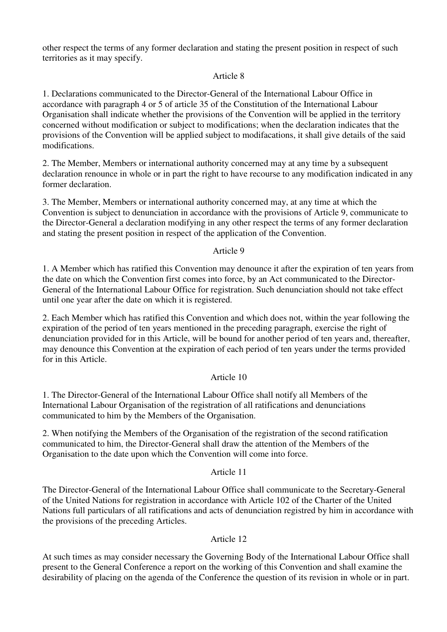other respect the terms of any former declaration and stating the present position in respect of such territories as it may specify.

## Article 8

1. Declarations communicated to the Director-General of the International Labour Office in accordance with paragraph 4 or 5 of article 35 of the Constitution of the International Labour Organisation shall indicate whether the provisions of the Convention will be applied in the territory concerned without modification or subject to modifications; when the declaration indicates that the provisions of the Convention will be applied subject to modifacations, it shall give details of the said modifications.

2. The Member, Members or international authority concerned may at any time by a subsequent declaration renounce in whole or in part the right to have recourse to any modification indicated in any former declaration.

3. The Member, Members or international authority concerned may, at any time at which the Convention is subject to denunciation in accordance with the provisions of Article 9, communicate to the Director-General a declaration modifying in any other respect the terms of any former declaration and stating the present position in respect of the application of the Convention.

## Article 9

1. A Member which has ratified this Convention may denounce it after the expiration of ten years from the date on which the Convention first comes into force, by an Act communicated to the Director-General of the International Labour Office for registration. Such denunciation should not take effect until one year after the date on which it is registered.

2. Each Member which has ratified this Convention and which does not, within the year following the expiration of the period of ten years mentioned in the preceding paragraph, exercise the right of denunciation provided for in this Article, will be bound for another period of ten years and, thereafter, may denounce this Convention at the expiration of each period of ten years under the terms provided for in this Article.

## Article 10

1. The Director-General of the International Labour Office shall notify all Members of the International Labour Organisation of the registration of all ratifications and denunciations communicated to him by the Members of the Organisation.

2. When notifying the Members of the Organisation of the registration of the second ratification communicated to him, the Director-General shall draw the attention of the Members of the Organisation to the date upon which the Convention will come into force.

## Article 11

The Director-General of the International Labour Office shall communicate to the Secretary-General of the United Nations for registration in accordance with Article 102 of the Charter of the United Nations full particulars of all ratifications and acts of denunciation registred by him in accordance with the provisions of the preceding Articles.

## Article 12

At such times as may consider necessary the Governing Body of the International Labour Office shall present to the General Conference a report on the working of this Convention and shall examine the desirability of placing on the agenda of the Conference the question of its revision in whole or in part.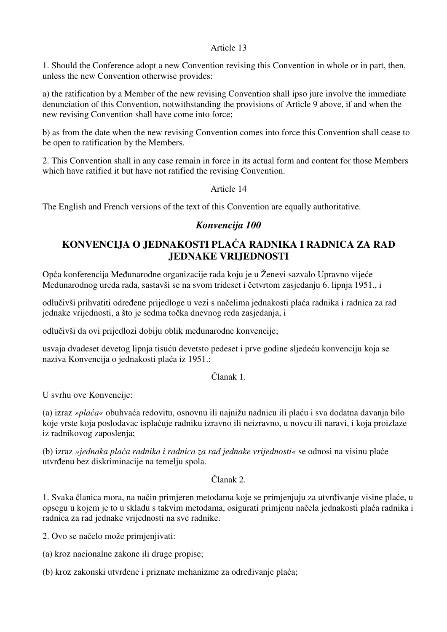## Article 13

1. Should the Conference adopt a new Convention revising this Convention in whole or in part, then, unless the new Convention otherwise provides:

a) the ratification by a Member of the new revising Convention shall ipso jure involve the immediate denunciation of this Convention, notwithstanding the provisions of Article 9 above, if and when the new revising Convention shall have come into force;

b) as from the date when the new revising Convention comes into force this Convention shall cease to be open to ratification by the Members.

2. This Convention shall in any case remain in force in its actual form and content for those Members which have ratified it but have not ratified the revising Convention.

Article 14

The English and French versions of the text of this Convention are equally authoritative.

## *Konvencija 100*

# **KONVENCIJA O JEDNAKOSTI PLA**Ć**A RADNIKA I RADNICA ZA RAD JEDNAKE VRIJEDNOSTI**

Opća konferencija Međunarodne organizacije rada koju je u Ženevi sazvalo Upravno vijeće Međunarodnog ureda rada, sastavši se na svom trideset i četvrtom zasjedanju 6. lipnja 1951., i

odlučivši prihvatiti određene prijedloge u vezi s načelima jednakosti plaća radnika i radnica za rad jednake vrijednosti, a što je sedma točka dnevnog reda zasjedanja, i

odlučivši da ovi prijedlozi dobiju oblik međunarodne konvencije;

usvaja dvadeset devetog lipnja tisuću devetsto pedeset i prve godine sljedeću konvenciju koja se naziva Konvencija o jednakosti plaća iz 1951.:

Članak 1.

U svrhu ove Konvencije:

(a) izraz *»pla*ć*a«* obuhvaća redovitu, osnovnu ili najnižu nadnicu ili plaću i sva dodatna davanja bilo koje vrste koja poslodavac isplaćuje radniku izravno ili neizravno, u novcu ili naravi, i koja proizlaze iz radnikovog zaposlenja;

(b) izraz *»jednaka pla*ć*a radnika i radnica za rad jednake vrijednosti«* se odnosi na visinu plaće utvrđenu bez diskriminacije na temelju spola.

## Članak 2.

1. Svaka članica mora, na način primjeren metodama koje se primjenjuju za utvrđivanje visine plaće, u opsegu u kojem je to u skladu s takvim metodama, osigurati primjenu načela jednakosti plaća radnika i radnica za rad jednake vrijednosti na sve radnike.

2. Ovo se načelo može primjenjivati:

(a) kroz nacionalne zakone ili druge propise;

(b) kroz zakonski utvrđene i priznate mehanizme za određivanje plaća;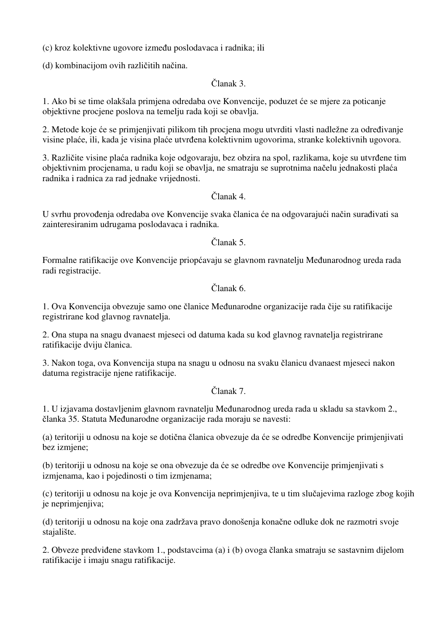(c) kroz kolektivne ugovore između poslodavaca i radnika; ili

(d) kombinacijom ovih različitih načina.

## Članak 3.

1. Ako bi se time olakšala primjena odredaba ove Konvencije, poduzet će se mjere za poticanje objektivne procjene poslova na temelju rada koji se obavlja.

2. Metode koje će se primjenjivati pilikom tih procjena mogu utvrditi vlasti nadležne za određivanje visine plaće, ili, kada je visina plaće utvrđena kolektivnim ugovorima, stranke kolektivnih ugovora.

3. Različite visine plaća radnika koje odgovaraju, bez obzira na spol, razlikama, koje su utvrđene tim objektivnim procjenama, u radu koji se obavlja, ne smatraju se suprotnima načelu jednakosti plaća radnika i radnica za rad jednake vrijednosti.

## Članak 4.

U svrhu provođenja odredaba ove Konvencije svaka članica će na odgovarajući način surađivati sa zainteresiranim udrugama poslodavaca i radnika.

Članak 5.

Formalne ratifikacije ove Konvencije priopćavaju se glavnom ravnatelju Međunarodnog ureda rada radi registracije.

Članak 6.

1. Ova Konvencija obvezuje samo one članice Međunarodne organizacije rada čije su ratifikacije registrirane kod glavnog ravnatelja.

2. Ona stupa na snagu dvanaest mjeseci od datuma kada su kod glavnog ravnatelja registrirane ratifikacije dviju članica.

3. Nakon toga, ova Konvencija stupa na snagu u odnosu na svaku članicu dvanaest mjeseci nakon datuma registracije njene ratifikacije.

# Članak 7.

1. U izjavama dostavljenim glavnom ravnatelju Međunarodnog ureda rada u skladu sa stavkom 2., članka 35. Statuta Međunarodne organizacije rada moraju se navesti:

(a) teritoriji u odnosu na koje se dotična članica obvezuje da će se odredbe Konvencije primjenjivati bez izmjene;

(b) teritoriji u odnosu na koje se ona obvezuje da će se odredbe ove Konvencije primjenjivati s izmjenama, kao i pojedinosti o tim izmjenama;

(c) teritoriji u odnosu na koje je ova Konvencija neprimjenjiva, te u tim slučajevima razloge zbog kojih je neprimjenjiva;

(d) teritoriji u odnosu na koje ona zadržava pravo donošenja konačne odluke dok ne razmotri svoje stajalište.

2. Obveze predviđene stavkom 1., podstavcima (a) i (b) ovoga članka smatraju se sastavnim dijelom ratifikacije i imaju snagu ratifikacije.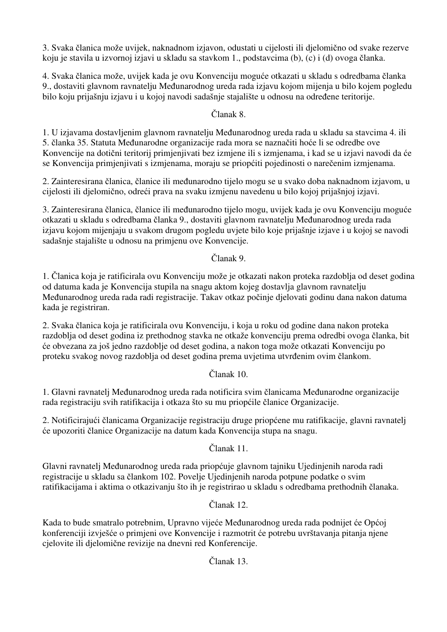3. Svaka članica može uvijek, naknadnom izjavon, odustati u cijelosti ili djelomično od svake rezerve koju je stavila u izvornoj izjavi u skladu sa stavkom 1., podstavcima (b), (c) i (d) ovoga članka.

4. Svaka članica može, uvijek kada je ovu Konvenciju moguće otkazati u skladu s odredbama članka 9., dostaviti glavnom ravnatelju Međunarodnog ureda rada izjavu kojom mijenja u bilo kojem pogledu bilo koju prijašnju izjavu i u kojoj navodi sadašnje stajalište u odnosu na određene teritorije.

# Članak 8.

1. U izjavama dostavljenim glavnom ravnatelju Međunarodnog ureda rada u skladu sa stavcima 4. ili 5. članka 35. Statuta Međunarodne organizacije rada mora se naznačiti hoće li se odredbe ove Konvencije na dotični teritorij primjenjivati bez izmjene ili s izmjenama, i kad se u izjavi navodi da će se Konvencija primjenjivati s izmjenama, moraju se priopćiti pojedinosti o narečenim izmjenama.

2. Zainteresirana članica, članice ili međunarodno tijelo mogu se u svako doba naknadnom izjavom, u cijelosti ili djelomično, odreći prava na svaku izmjenu navedenu u bilo kojoj prijašnjoj izjavi.

3. Zainteresirana članica, članice ili međunarodno tijelo mogu, uvijek kada je ovu Konvenciju moguće otkazati u skladu s odredbama članka 9., dostaviti glavnom ravnatelju Međunarodnog ureda rada izjavu kojom mijenjaju u svakom drugom pogledu uvjete bilo koje prijašnje izjave i u kojoj se navodi sadašnje stajalište u odnosu na primjenu ove Konvencije.

# Članak 9.

1. Članica koja je ratificirala ovu Konvenciju može je otkazati nakon proteka razdoblja od deset godina od datuma kada je Konvencija stupila na snagu aktom kojeg dostavlja glavnom ravnatelju Međunarodnog ureda rada radi registracije. Takav otkaz počinje djelovati godinu dana nakon datuma kada je registriran.

2. Svaka članica koja je ratificirala ovu Konvenciju, i koja u roku od godine dana nakon proteka razdoblja od deset godina iz prethodnog stavka ne otkaže konvenciju prema odredbi ovoga članka, bit će obvezana za još jedno razdoblje od deset godina, a nakon toga može otkazati Konvenciju po proteku svakog novog razdoblja od deset godina prema uvjetima utvrđenim ovim člankom.

# Članak 10.

1. Glavni ravnatelj Međunarodnog ureda rada notificira svim članicama Međunarodne organizacije rada registraciju svih ratifikacija i otkaza što su mu priopćile članice Organizacije.

2. Notificirajući članicama Organizacije registraciju druge priopćene mu ratifikacije, glavni ravnatelj će upozoriti članice Organizacije na datum kada Konvencija stupa na snagu.

# Članak 11.

Glavni ravnatelj Međunarodnog ureda rada priopćuje glavnom tajniku Ujedinjenih naroda radi registracije u skladu sa člankom 102. Povelje Ujedinjenih naroda potpune podatke o svim ratifikacijama i aktima o otkazivanju što ih je registrirao u skladu s odredbama prethodnih članaka.

# Članak 12.

Kada to bude smatralo potrebnim, Upravno vijeće Međunarodnog ureda rada podnijet će Općoj konferenciji izvješće o primjeni ove Konvencije i razmotrit će potrebu uvrštavanja pitanja njene cjelovite ili djelomične revizije na dnevni red Konferencije.

# Članak 13.